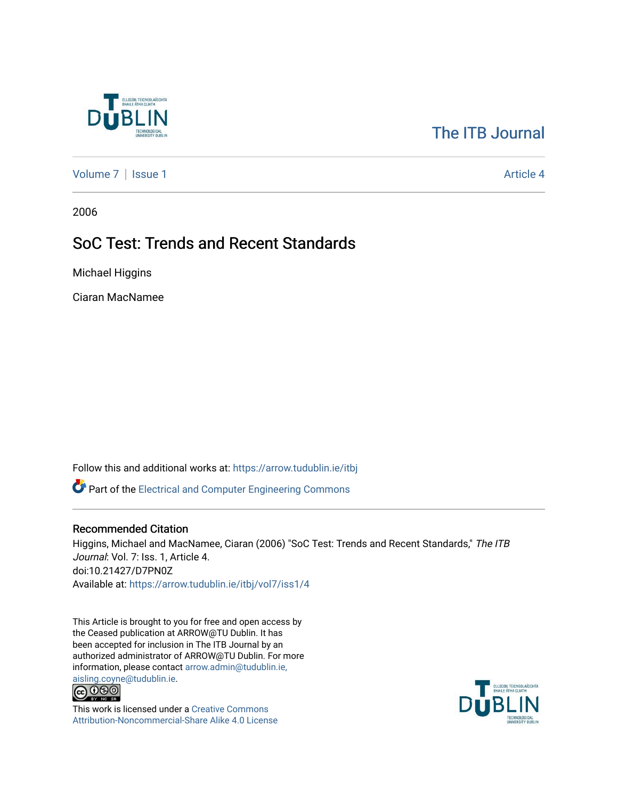

# [The ITB Journal](https://arrow.tudublin.ie/itbj)

[Volume 7](https://arrow.tudublin.ie/itbj/vol7) | [Issue 1](https://arrow.tudublin.ie/itbj/vol7/iss1) Article 4

2006

# SoC Test: Trends and Recent Standards

Michael Higgins

Ciaran MacNamee

Follow this and additional works at: [https://arrow.tudublin.ie/itbj](https://arrow.tudublin.ie/itbj?utm_source=arrow.tudublin.ie%2Fitbj%2Fvol7%2Fiss1%2F4&utm_medium=PDF&utm_campaign=PDFCoverPages) 

Part of the [Electrical and Computer Engineering Commons](http://network.bepress.com/hgg/discipline/266?utm_source=arrow.tudublin.ie%2Fitbj%2Fvol7%2Fiss1%2F4&utm_medium=PDF&utm_campaign=PDFCoverPages) 

## Recommended Citation

Higgins, Michael and MacNamee, Ciaran (2006) "SoC Test: Trends and Recent Standards," The ITB Journal: Vol. 7: Iss. 1, Article 4. doi:10.21427/D7PN0Z Available at: [https://arrow.tudublin.ie/itbj/vol7/iss1/4](https://arrow.tudublin.ie/itbj/vol7/iss1/4?utm_source=arrow.tudublin.ie%2Fitbj%2Fvol7%2Fiss1%2F4&utm_medium=PDF&utm_campaign=PDFCoverPages) 

This Article is brought to you for free and open access by the Ceased publication at ARROW@TU Dublin. It has been accepted for inclusion in The ITB Journal by an authorized administrator of ARROW@TU Dublin. For more information, please contact [arrow.admin@tudublin.ie,](mailto:arrow.admin@tudublin.ie,%20aisling.coyne@tudublin.ie) 



This work is licensed under a [Creative Commons](http://creativecommons.org/licenses/by-nc-sa/4.0/) [Attribution-Noncommercial-Share Alike 4.0 License](http://creativecommons.org/licenses/by-nc-sa/4.0/)

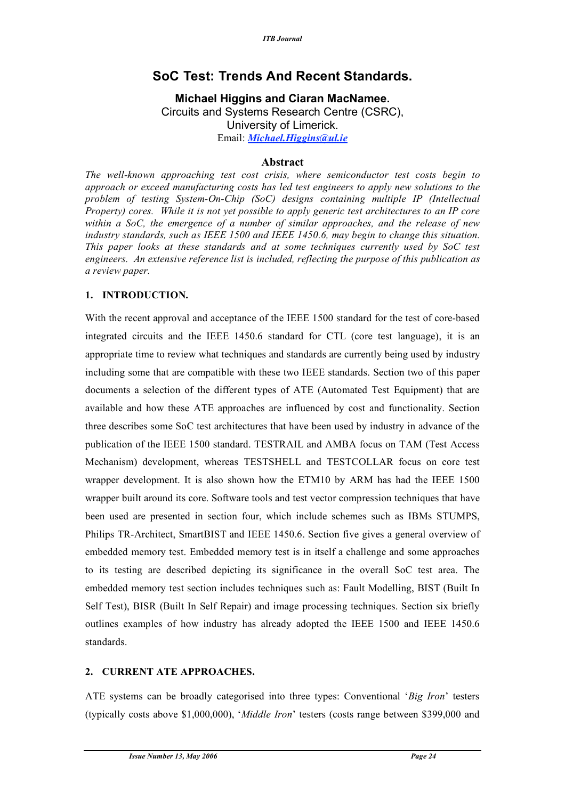## **SoC Test: Trends And Recent Standards.**

**Michael Higgins and Ciaran MacNamee.** Circuits and Systems Research Centre (CSRC), University of Limerick. Email: *Michael.Higgins@ul.ie*

### **Abstract**

*The well-known approaching test cost crisis, where semiconductor test costs begin to approach or exceed manufacturing costs has led test engineers to apply new solutions to the problem of testing System-On-Chip (SoC) designs containing multiple IP (Intellectual Property) cores. While it is not yet possible to apply generic test architectures to an IP core within a SoC, the emergence of a number of similar approaches, and the release of new industry standards, such as IEEE 1500 and IEEE 1450.6, may begin to change this situation. This paper looks at these standards and at some techniques currently used by SoC test engineers. An extensive reference list is included, reflecting the purpose of this publication as a review paper.*

## **1. INTRODUCTION.**

With the recent approval and acceptance of the IEEE 1500 standard for the test of core-based integrated circuits and the IEEE 1450.6 standard for CTL (core test language), it is an appropriate time to review what techniques and standards are currently being used by industry including some that are compatible with these two IEEE standards. Section two of this paper documents a selection of the different types of ATE (Automated Test Equipment) that are available and how these ATE approaches are influenced by cost and functionality. Section three describes some SoC test architectures that have been used by industry in advance of the publication of the IEEE 1500 standard. TESTRAIL and AMBA focus on TAM (Test Access Mechanism) development, whereas TESTSHELL and TESTCOLLAR focus on core test wrapper development. It is also shown how the ETM10 by ARM has had the IEEE 1500 wrapper built around its core. Software tools and test vector compression techniques that have been used are presented in section four, which include schemes such as IBMs STUMPS, Philips TR-Architect, SmartBIST and IEEE 1450.6. Section five gives a general overview of embedded memory test. Embedded memory test is in itself a challenge and some approaches to its testing are described depicting its significance in the overall SoC test area. The embedded memory test section includes techniques such as: Fault Modelling, BIST (Built In Self Test), BISR (Built In Self Repair) and image processing techniques. Section six briefly outlines examples of how industry has already adopted the IEEE 1500 and IEEE 1450.6 standards.

## **2. CURRENT ATE APPROACHES.**

ATE systems can be broadly categorised into three types: Conventional '*Big Iron*' testers (typically costs above \$1,000,000), '*Middle Iron*' testers (costs range between \$399,000 and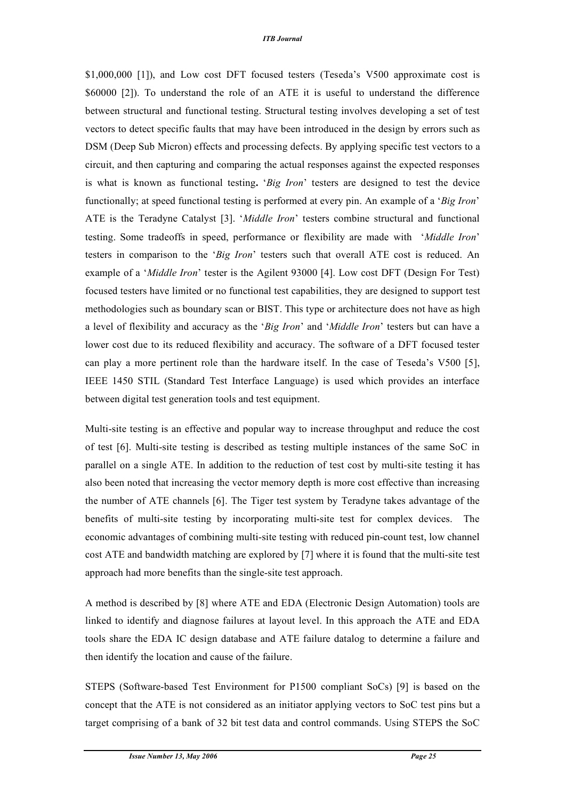\$1,000,000 [1]), and Low cost DFT focused testers (Teseda's V500 approximate cost is \$60000 [2]). To understand the role of an ATE it is useful to understand the difference between structural and functional testing. Structural testing involves developing a set of test vectors to detect specific faults that may have been introduced in the design by errors such as DSM (Deep Sub Micron) effects and processing defects. By applying specific test vectors to a circuit, and then capturing and comparing the actual responses against the expected responses is what is known as functional testing**.** '*Big Iron*' testers are designed to test the device functionally; at speed functional testing is performed at every pin. An example of a '*Big Iron*' ATE is the Teradyne Catalyst [3]. '*Middle Iron*' testers combine structural and functional testing. Some tradeoffs in speed, performance or flexibility are made with '*Middle Iron*' testers in comparison to the '*Big Iron*' testers such that overall ATE cost is reduced. An example of a '*Middle Iron*' tester is the Agilent 93000 [4]. Low cost DFT (Design For Test) focused testers have limited or no functional test capabilities, they are designed to support test methodologies such as boundary scan or BIST. This type or architecture does not have as high a level of flexibility and accuracy as the '*Big Iron*' and '*Middle Iron*' testers but can have a lower cost due to its reduced flexibility and accuracy. The software of a DFT focused tester can play a more pertinent role than the hardware itself. In the case of Teseda's V500 [5], IEEE 1450 STIL (Standard Test Interface Language) is used which provides an interface between digital test generation tools and test equipment.

Multi-site testing is an effective and popular way to increase throughput and reduce the cost of test [6]. Multi-site testing is described as testing multiple instances of the same SoC in parallel on a single ATE. In addition to the reduction of test cost by multi-site testing it has also been noted that increasing the vector memory depth is more cost effective than increasing the number of ATE channels [6]. The Tiger test system by Teradyne takes advantage of the benefits of multi-site testing by incorporating multi-site test for complex devices. The economic advantages of combining multi-site testing with reduced pin-count test, low channel cost ATE and bandwidth matching are explored by [7] where it is found that the multi-site test approach had more benefits than the single-site test approach.

A method is described by [8] where ATE and EDA (Electronic Design Automation) tools are linked to identify and diagnose failures at layout level. In this approach the ATE and EDA tools share the EDA IC design database and ATE failure datalog to determine a failure and then identify the location and cause of the failure.

STEPS (Software-based Test Environment for P1500 compliant SoCs) [9] is based on the concept that the ATE is not considered as an initiator applying vectors to SoC test pins but a target comprising of a bank of 32 bit test data and control commands. Using STEPS the SoC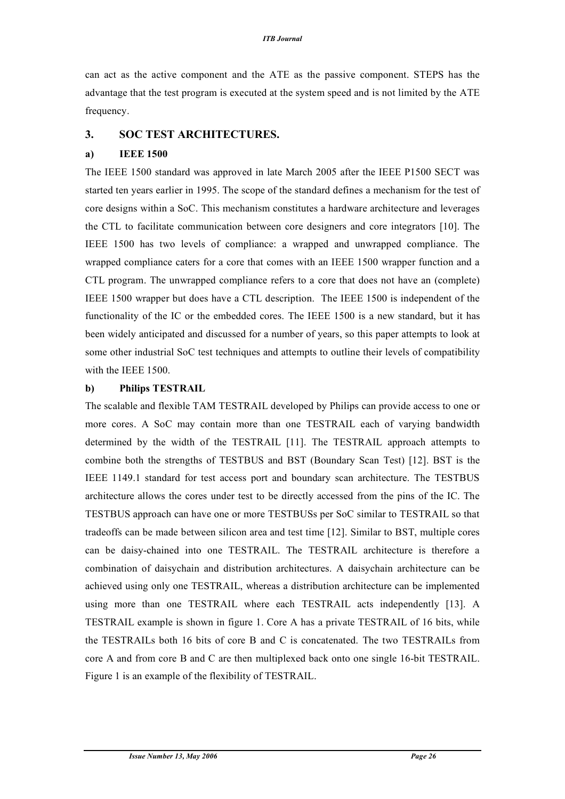can act as the active component and the ATE as the passive component. STEPS has the advantage that the test program is executed at the system speed and is not limited by the ATE frequency.

#### **3. SOC TEST ARCHITECTURES.**

#### **a) IEEE 1500**

The IEEE 1500 standard was approved in late March 2005 after the IEEE P1500 SECT was started ten years earlier in 1995. The scope of the standard defines a mechanism for the test of core designs within a SoC. This mechanism constitutes a hardware architecture and leverages the CTL to facilitate communication between core designers and core integrators [10]. The IEEE 1500 has two levels of compliance: a wrapped and unwrapped compliance. The wrapped compliance caters for a core that comes with an IEEE 1500 wrapper function and a CTL program. The unwrapped compliance refers to a core that does not have an (complete) IEEE 1500 wrapper but does have a CTL description. The IEEE 1500 is independent of the functionality of the IC or the embedded cores. The IEEE 1500 is a new standard, but it has been widely anticipated and discussed for a number of years, so this paper attempts to look at some other industrial SoC test techniques and attempts to outline their levels of compatibility with the IEEE 1500.

#### **b) Philips TESTRAIL**

The scalable and flexible TAM TESTRAIL developed by Philips can provide access to one or more cores. A SoC may contain more than one TESTRAIL each of varying bandwidth determined by the width of the TESTRAIL [11]. The TESTRAIL approach attempts to combine both the strengths of TESTBUS and BST (Boundary Scan Test) [12]. BST is the IEEE 1149.1 standard for test access port and boundary scan architecture. The TESTBUS architecture allows the cores under test to be directly accessed from the pins of the IC. The TESTBUS approach can have one or more TESTBUSs per SoC similar to TESTRAIL so that tradeoffs can be made between silicon area and test time [12]. Similar to BST, multiple cores can be daisy-chained into one TESTRAIL. The TESTRAIL architecture is therefore a combination of daisychain and distribution architectures. A daisychain architecture can be achieved using only one TESTRAIL, whereas a distribution architecture can be implemented using more than one TESTRAIL where each TESTRAIL acts independently [13]. A TESTRAIL example is shown in figure 1. Core A has a private TESTRAIL of 16 bits, while the TESTRAILs both 16 bits of core B and C is concatenated. The two TESTRAILs from core A and from core B and C are then multiplexed back onto one single 16-bit TESTRAIL. Figure 1 is an example of the flexibility of TESTRAIL.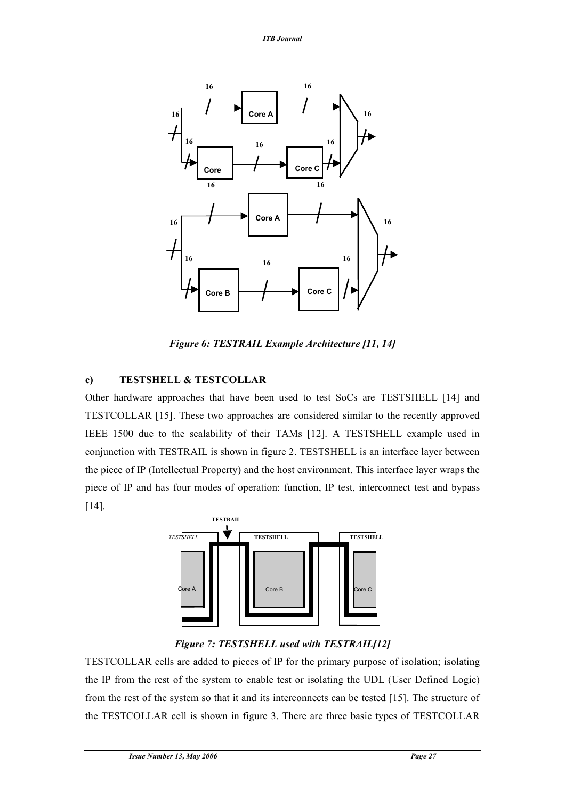

*Figure 6: TESTRAIL Example Architecture [11, 14]*

## **c) TESTSHELL & TESTCOLLAR**

Other hardware approaches that have been used to test SoCs are TESTSHELL [14] and TESTCOLLAR [15]. These two approaches are considered similar to the recently approved IEEE 1500 due to the scalability of their TAMs [12]. A TESTSHELL example used in conjunction with TESTRAIL is shown in figure 2. TESTSHELL is an interface layer between the piece of IP (Intellectual Property) and the host environment. This interface layer wraps the piece of IP and has four modes of operation: function, IP test, interconnect test and bypass [14].



## *Figure 7: TESTSHELL used with TESTRAIL[12]*

TESTCOLLAR cells are added to pieces of IP for the primary purpose of isolation; isolating the IP from the rest of the system to enable test or isolating the UDL (User Defined Logic) from the rest of the system so that it and its interconnects can be tested [15]. The structure of the TESTCOLLAR cell is shown in figure 3. There are three basic types of TESTCOLLAR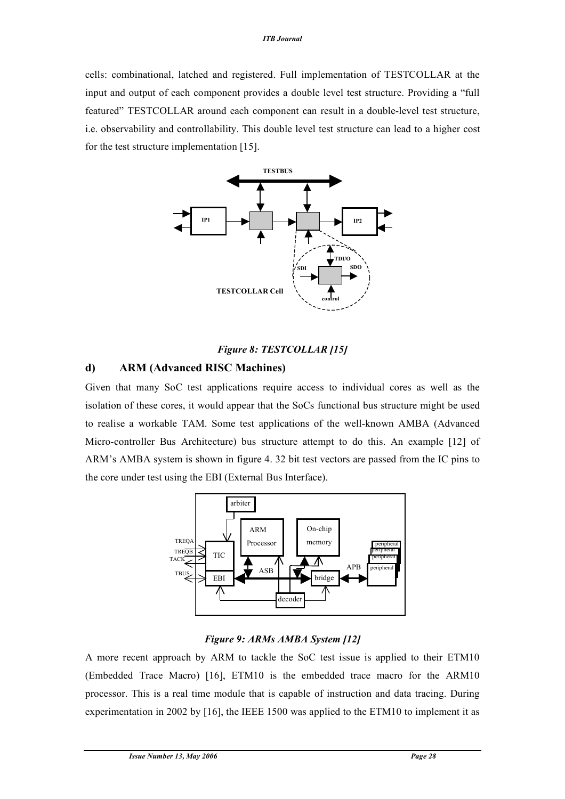cells: combinational, latched and registered. Full implementation of TESTCOLLAR at the input and output of each component provides a double level test structure. Providing a "full featured" TESTCOLLAR around each component can result in a double-level test structure, i.e. observability and controllability. This double level test structure can lead to a higher cost for the test structure implementation [15].



## *Figure 8: TESTCOLLAR [15]*

## **d) ARM (Advanced RISC Machines)**

Given that many SoC test applications require access to individual cores as well as the isolation of these cores, it would appear that the SoCs functional bus structure might be used to realise a workable TAM. Some test applications of the well-known AMBA (Advanced Micro-controller Bus Architecture) bus structure attempt to do this. An example [12] of ARM's AMBA system is shown in figure 4. 32 bit test vectors are passed from the IC pins to the core under test using the EBI (External Bus Interface).



## *Figure 9: ARMs AMBA System [12]*

A more recent approach by ARM to tackle the SoC test issue is applied to their ETM10 (Embedded Trace Macro) [16], ETM10 is the embedded trace macro for the ARM10 processor. This is a real time module that is capable of instruction and data tracing. During experimentation in 2002 by [16], the IEEE 1500 was applied to the ETM10 to implement it as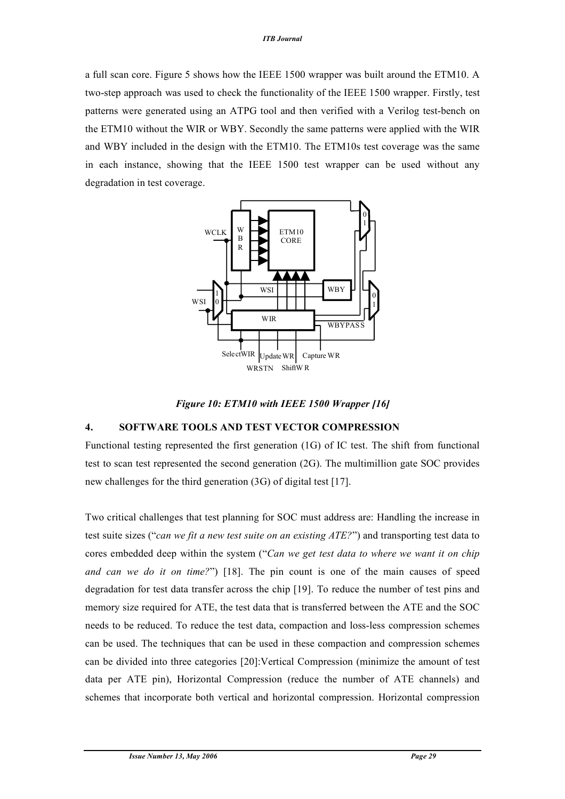a full scan core. Figure 5 shows how the IEEE 1500 wrapper was built around the ETM10. A two-step approach was used to check the functionality of the IEEE 1500 wrapper. Firstly, test patterns were generated using an ATPG tool and then verified with a Verilog test-bench on the ETM10 without the WIR or WBY. Secondly the same patterns were applied with the WIR and WBY included in the design with the ETM10. The ETM10s test coverage was the same in each instance, showing that the IEEE 1500 test wrapper can be used without any degradation in test coverage.



*Figure 10: ETM10 with IEEE 1500 Wrapper [16]*

## **4. SOFTWARE TOOLS AND TEST VECTOR COMPRESSION**

Functional testing represented the first generation (1G) of IC test. The shift from functional test to scan test represented the second generation (2G). The multimillion gate SOC provides new challenges for the third generation (3G) of digital test [17].

Two critical challenges that test planning for SOC must address are: Handling the increase in test suite sizes ("*can we fit a new test suite on an existing ATE?*") and transporting test data to cores embedded deep within the system ("*Can we get test data to where we want it on chip and can we do it on time?*") [18]. The pin count is one of the main causes of speed degradation for test data transfer across the chip [19]. To reduce the number of test pins and memory size required for ATE, the test data that is transferred between the ATE and the SOC needs to be reduced. To reduce the test data, compaction and loss-less compression schemes can be used. The techniques that can be used in these compaction and compression schemes can be divided into three categories [20]:Vertical Compression (minimize the amount of test data per ATE pin), Horizontal Compression (reduce the number of ATE channels) and schemes that incorporate both vertical and horizontal compression. Horizontal compression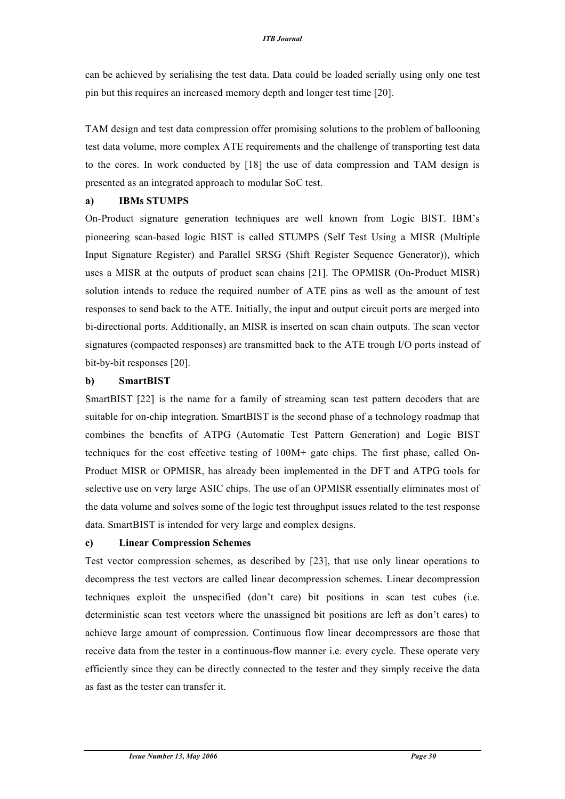can be achieved by serialising the test data. Data could be loaded serially using only one test pin but this requires an increased memory depth and longer test time [20].

TAM design and test data compression offer promising solutions to the problem of ballooning test data volume, more complex ATE requirements and the challenge of transporting test data to the cores. In work conducted by [18] the use of data compression and TAM design is presented as an integrated approach to modular SoC test.

#### **a) IBMs STUMPS**

On-Product signature generation techniques are well known from Logic BIST. IBM's pioneering scan-based logic BIST is called STUMPS (Self Test Using a MISR (Multiple Input Signature Register) and Parallel SRSG (Shift Register Sequence Generator)), which uses a MISR at the outputs of product scan chains [21]. The OPMISR (On-Product MISR) solution intends to reduce the required number of ATE pins as well as the amount of test responses to send back to the ATE. Initially, the input and output circuit ports are merged into bi-directional ports. Additionally, an MISR is inserted on scan chain outputs. The scan vector signatures (compacted responses) are transmitted back to the ATE trough I/O ports instead of bit-by-bit responses [20].

#### **b) SmartBIST**

SmartBIST [22] is the name for a family of streaming scan test pattern decoders that are suitable for on-chip integration. SmartBIST is the second phase of a technology roadmap that combines the benefits of ATPG (Automatic Test Pattern Generation) and Logic BIST techniques for the cost effective testing of 100M+ gate chips. The first phase, called On-Product MISR or OPMISR, has already been implemented in the DFT and ATPG tools for selective use on very large ASIC chips. The use of an OPMISR essentially eliminates most of the data volume and solves some of the logic test throughput issues related to the test response data. SmartBIST is intended for very large and complex designs.

#### **c) Linear Compression Schemes**

Test vector compression schemes, as described by [23], that use only linear operations to decompress the test vectors are called linear decompression schemes. Linear decompression techniques exploit the unspecified (don't care) bit positions in scan test cubes (i.e. deterministic scan test vectors where the unassigned bit positions are left as don't cares) to achieve large amount of compression. Continuous flow linear decompressors are those that receive data from the tester in a continuous-flow manner i.e. every cycle. These operate very efficiently since they can be directly connected to the tester and they simply receive the data as fast as the tester can transfer it.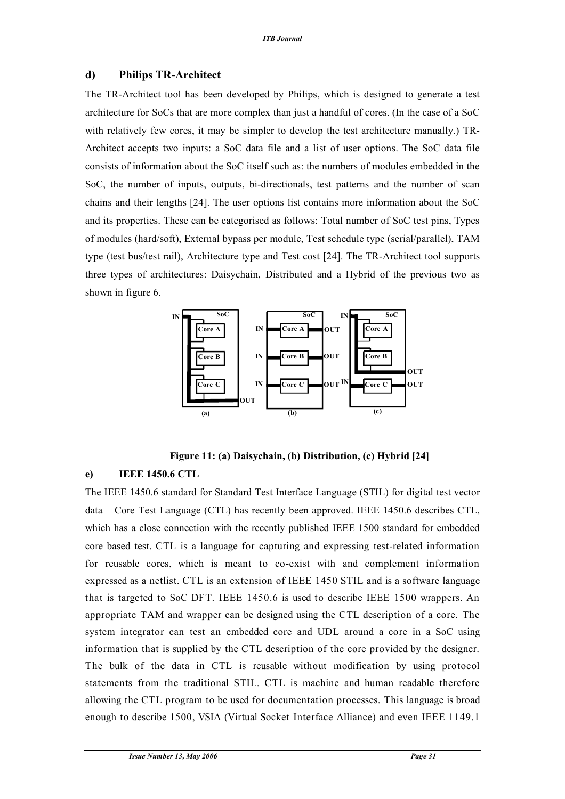## **d) Philips TR-Architect**

The TR-Architect tool has been developed by Philips, which is designed to generate a test architecture for SoCs that are more complex than just a handful of cores. (In the case of a SoC with relatively few cores, it may be simpler to develop the test architecture manually.) TR-Architect accepts two inputs: a SoC data file and a list of user options. The SoC data file consists of information about the SoC itself such as: the numbers of modules embedded in the SoC, the number of inputs, outputs, bi-directionals, test patterns and the number of scan chains and their lengths [24]. The user options list contains more information about the SoC and its properties. These can be categorised as follows: Total number of SoC test pins, Types of modules (hard/soft), External bypass per module, Test schedule type (serial/parallel), TAM type (test bus/test rail), Architecture type and Test cost [24]. The TR-Architect tool supports three types of architectures: Daisychain, Distributed and a Hybrid of the previous two as shown in figure 6.



**Figure 11: (a) Daisychain, (b) Distribution, (c) Hybrid [24]**

## **e) IEEE 1450.6 CTL**

The IEEE 1450.6 standard for Standard Test Interface Language (STIL) for digital test vector data – Core Test Language (CTL) has recently been approved. IEEE 1450.6 describes CTL, which has a close connection with the recently published IEEE 1500 standard for embedded core based test. CTL is a language for capturing and expressing test-related information for reusable cores, which is meant to co-exist with and complement information expressed as a netlist. CTL is an extension of IEEE 1450 STIL and is a software language that is targeted to SoC DFT. IEEE 1450.6 is used to describe IEEE 1500 wrappers. An appropriate TAM and wrapper can be designed using the CTL description of a core. The system integrator can test an embedded core and UDL around a core in a SoC using information that is supplied by the CTL description of the core provided by the designer. The bulk of the data in CTL is reusable without modification by using protocol statements from the traditional STIL. CTL is machine and human readable therefore allowing the CTL program to be used for documentation processes. This language is broad enough to describe 1500, VSIA (Virtual Socket Interface Alliance) and even IEEE 1149.1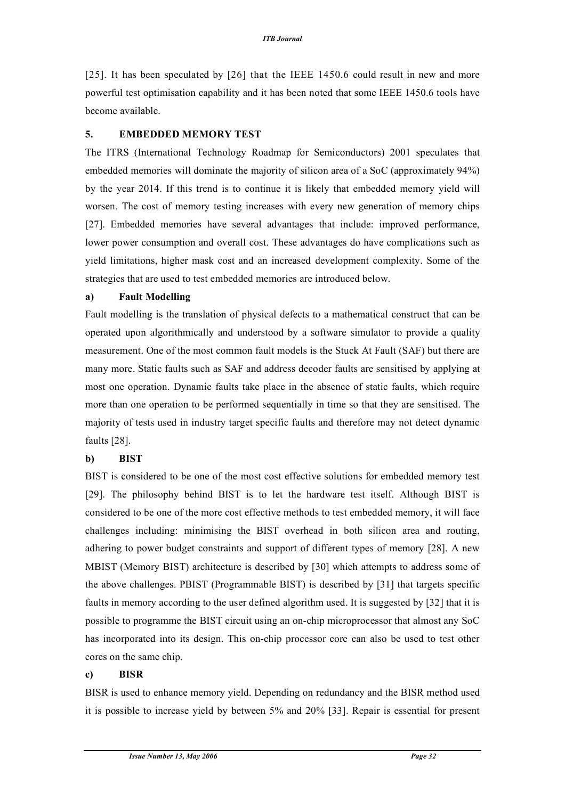[25]. It has been speculated by [26] that the IEEE 1450.6 could result in new and more powerful test optimisation capability and it has been noted that some IEEE 1450.6 tools have become available.

#### **5. EMBEDDED MEMORY TEST**

The ITRS (International Technology Roadmap for Semiconductors) 2001 speculates that embedded memories will dominate the majority of silicon area of a SoC (approximately 94%) by the year 2014. If this trend is to continue it is likely that embedded memory yield will worsen. The cost of memory testing increases with every new generation of memory chips [27]. Embedded memories have several advantages that include: improved performance, lower power consumption and overall cost. These advantages do have complications such as yield limitations, higher mask cost and an increased development complexity. Some of the strategies that are used to test embedded memories are introduced below.

#### **a) Fault Modelling**

Fault modelling is the translation of physical defects to a mathematical construct that can be operated upon algorithmically and understood by a software simulator to provide a quality measurement. One of the most common fault models is the Stuck At Fault (SAF) but there are many more. Static faults such as SAF and address decoder faults are sensitised by applying at most one operation. Dynamic faults take place in the absence of static faults, which require more than one operation to be performed sequentially in time so that they are sensitised. The majority of tests used in industry target specific faults and therefore may not detect dynamic faults [28].

#### **b) BIST**

BIST is considered to be one of the most cost effective solutions for embedded memory test [29]. The philosophy behind BIST is to let the hardware test itself. Although BIST is considered to be one of the more cost effective methods to test embedded memory, it will face challenges including: minimising the BIST overhead in both silicon area and routing, adhering to power budget constraints and support of different types of memory [28]. A new MBIST (Memory BIST) architecture is described by [30] which attempts to address some of the above challenges. PBIST (Programmable BIST) is described by [31] that targets specific faults in memory according to the user defined algorithm used. It is suggested by [32] that it is possible to programme the BIST circuit using an on-chip microprocessor that almost any SoC has incorporated into its design. This on-chip processor core can also be used to test other cores on the same chip.

#### **c) BISR**

BISR is used to enhance memory yield. Depending on redundancy and the BISR method used it is possible to increase yield by between 5% and 20% [33]. Repair is essential for present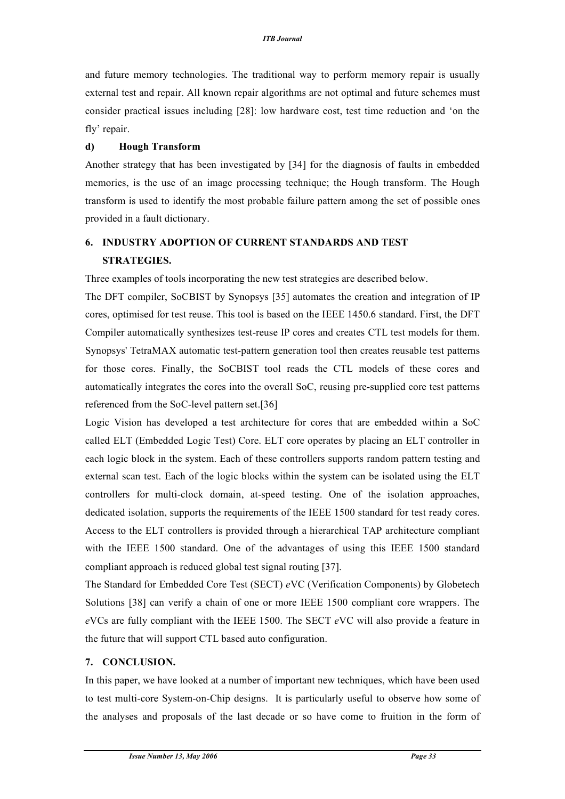and future memory technologies. The traditional way to perform memory repair is usually external test and repair. All known repair algorithms are not optimal and future schemes must consider practical issues including [28]: low hardware cost, test time reduction and 'on the fly' repair.

#### **d) Hough Transform**

Another strategy that has been investigated by [34] for the diagnosis of faults in embedded memories, is the use of an image processing technique; the Hough transform. The Hough transform is used to identify the most probable failure pattern among the set of possible ones provided in a fault dictionary.

## **6. INDUSTRY ADOPTION OF CURRENT STANDARDS AND TEST STRATEGIES.**

Three examples of tools incorporating the new test strategies are described below.

The DFT compiler, SoCBIST by Synopsys [35] automates the creation and integration of IP cores, optimised for test reuse. This tool is based on the IEEE 1450.6 standard. First, the DFT Compiler automatically synthesizes test-reuse IP cores and creates CTL test models for them. Synopsys' TetraMAX automatic test-pattern generation tool then creates reusable test patterns for those cores. Finally, the SoCBIST tool reads the CTL models of these cores and automatically integrates the cores into the overall SoC, reusing pre-supplied core test patterns referenced from the SoC-level pattern set.[36]

Logic Vision has developed a test architecture for cores that are embedded within a SoC called ELT (Embedded Logic Test) Core. ELT core operates by placing an ELT controller in each logic block in the system. Each of these controllers supports random pattern testing and external scan test. Each of the logic blocks within the system can be isolated using the ELT controllers for multi-clock domain, at-speed testing. One of the isolation approaches, dedicated isolation, supports the requirements of the IEEE 1500 standard for test ready cores. Access to the ELT controllers is provided through a hierarchical TAP architecture compliant with the IEEE 1500 standard. One of the advantages of using this IEEE 1500 standard compliant approach is reduced global test signal routing [37].

The Standard for Embedded Core Test (SECT) *e*VC (Verification Components) by Globetech Solutions [38] can verify a chain of one or more IEEE 1500 compliant core wrappers. The *e*VCs are fully compliant with the IEEE 1500. The SECT *e*VC will also provide a feature in the future that will support CTL based auto configuration.

## **7. CONCLUSION.**

In this paper, we have looked at a number of important new techniques, which have been used to test multi-core System-on-Chip designs. It is particularly useful to observe how some of the analyses and proposals of the last decade or so have come to fruition in the form of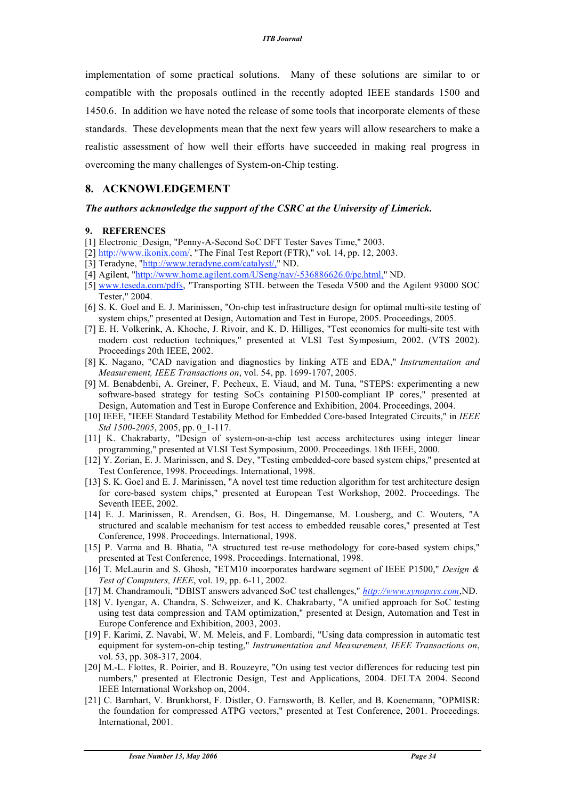implementation of some practical solutions. Many of these solutions are similar to or compatible with the proposals outlined in the recently adopted IEEE standards 1500 and 1450.6. In addition we have noted the release of some tools that incorporate elements of these standards. These developments mean that the next few years will allow researchers to make a realistic assessment of how well their efforts have succeeded in making real progress in overcoming the many challenges of System-on-Chip testing.

#### **8. ACKNOWLEDGEMENT**

#### *The authors acknowledge the support of the CSRC at the University of Limerick.*

#### **9. REFERENCES**

- [1] Electronic Design, "Penny-A-Second SoC DFT Tester Saves Time," 2003.
- [2] http://www.ikonix.com/, "The Final Test Report (FTR)," vol. 14, pp. 12, 2003.
- [3] Teradyne, "http://www.teradyne.com/catalyst/," ND.
- [4] Agilent, "http://www.home.agilent.com/USeng/nav/-536886626.0/pc.html," ND.
- [5] www.teseda.com/pdfs, "Transporting STIL between the Teseda V500 and the Agilent 93000 SOC Tester," 2004.
- [6] S. K. Goel and E. J. Marinissen, "On-chip test infrastructure design for optimal multi-site testing of system chips," presented at Design, Automation and Test in Europe, 2005. Proceedings, 2005.
- [7] E. H. Volkerink, A. Khoche, J. Rivoir, and K. D. Hilliges, "Test economics for multi-site test with modern cost reduction techniques," presented at VLSI Test Symposium, 2002. (VTS 2002). Proceedings 20th IEEE, 2002.
- [8] K. Nagano, "CAD navigation and diagnostics by linking ATE and EDA," *Instrumentation and Measurement, IEEE Transactions on*, vol. 54, pp. 1699-1707, 2005.
- [9] M. Benabdenbi, A. Greiner, F. Pecheux, E. Viaud, and M. Tuna, "STEPS: experimenting a new software-based strategy for testing SoCs containing P1500-compliant IP cores," presented at Design, Automation and Test in Europe Conference and Exhibition, 2004. Proceedings, 2004.
- [10] IEEE, "IEEE Standard Testability Method for Embedded Core-based Integrated Circuits," in *IEEE Std 1500-2005*, 2005, pp. 0\_1-117.
- [11] K. Chakrabarty, "Design of system-on-a-chip test access architectures using integer linear programming," presented at VLSI Test Symposium, 2000. Proceedings. 18th IEEE, 2000.
- [12] Y. Zorian, E. J. Marinissen, and S. Dey, "Testing embedded-core based system chips," presented at Test Conference, 1998. Proceedings. International, 1998.
- [13] S. K. Goel and E. J. Marinissen, "A novel test time reduction algorithm for test architecture design for core-based system chips," presented at European Test Workshop, 2002. Proceedings. The Seventh IEEE, 2002.
- [14] E. J. Marinissen, R. Arendsen, G. Bos, H. Dingemanse, M. Lousberg, and C. Wouters, "A structured and scalable mechanism for test access to embedded reusable cores," presented at Test Conference, 1998. Proceedings. International, 1998.
- [15] P. Varma and B. Bhatia, "A structured test re-use methodology for core-based system chips," presented at Test Conference, 1998. Proceedings. International, 1998.
- [16] T. McLaurin and S. Ghosh, "ETM10 incorporates hardware segment of IEEE P1500," *Design & Test of Computers, IEEE*, vol. 19, pp. 6-11, 2002.
- [17] M. Chandramouli, "DBIST answers advanced SoC test challenges," *http://www.synopsys.com*,ND.
- [18] V. Iyengar, A. Chandra, S. Schweizer, and K. Chakrabarty, "A unified approach for SoC testing using test data compression and TAM optimization," presented at Design, Automation and Test in Europe Conference and Exhibition, 2003, 2003.
- [19] F. Karimi, Z. Navabi, W. M. Meleis, and F. Lombardi, "Using data compression in automatic test equipment for system-on-chip testing," *Instrumentation and Measurement, IEEE Transactions on*, vol. 53, pp. 308-317, 2004.
- [20] M.-L. Flottes, R. Poirier, and B. Rouzeyre, "On using test vector differences for reducing test pin numbers," presented at Electronic Design, Test and Applications, 2004. DELTA 2004. Second IEEE International Workshop on, 2004.
- [21] C. Barnhart, V. Brunkhorst, F. Distler, O. Farnsworth, B. Keller, and B. Koenemann, "OPMISR: the foundation for compressed ATPG vectors," presented at Test Conference, 2001. Proceedings. International, 2001.